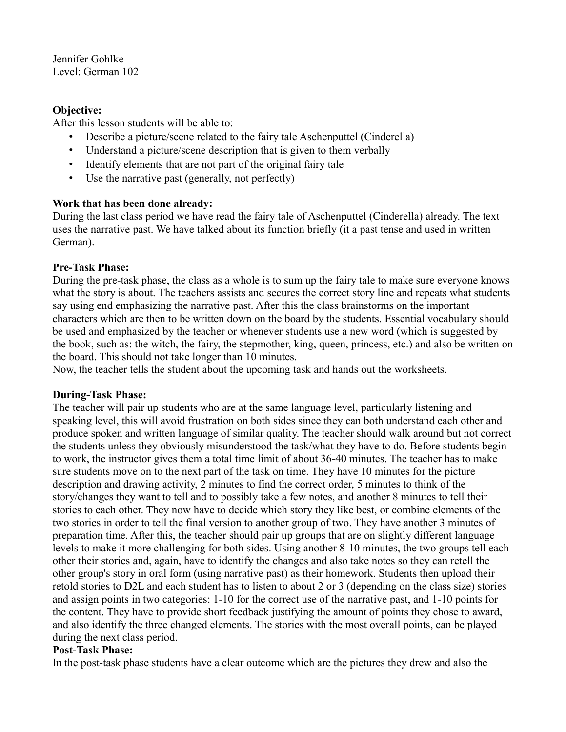Jennifer Gohlke Level: German 102

## **Objective:**

After this lesson students will be able to:

- Describe a picture/scene related to the fairy tale Aschenputtel (Cinderella)
- Understand a picture/scene description that is given to them verbally
- Identify elements that are not part of the original fairy tale
- Use the narrative past (generally, not perfectly)

## **Work that has been done already:**

During the last class period we have read the fairy tale of Aschenputtel (Cinderella) already. The text uses the narrative past. We have talked about its function briefly (it a past tense and used in written German).

## **Pre-Task Phase:**

During the pre-task phase, the class as a whole is to sum up the fairy tale to make sure everyone knows what the story is about. The teachers assists and secures the correct story line and repeats what students say using end emphasizing the narrative past. After this the class brainstorms on the important characters which are then to be written down on the board by the students. Essential vocabulary should be used and emphasized by the teacher or whenever students use a new word (which is suggested by the book, such as: the witch, the fairy, the stepmother, king, queen, princess, etc.) and also be written on the board. This should not take longer than 10 minutes.

Now, the teacher tells the student about the upcoming task and hands out the worksheets.

#### **During-Task Phase:**

The teacher will pair up students who are at the same language level, particularly listening and speaking level, this will avoid frustration on both sides since they can both understand each other and produce spoken and written language of similar quality. The teacher should walk around but not correct the students unless they obviously misunderstood the task/what they have to do. Before students begin to work, the instructor gives them a total time limit of about 36-40 minutes. The teacher has to make sure students move on to the next part of the task on time. They have 10 minutes for the picture description and drawing activity, 2 minutes to find the correct order, 5 minutes to think of the story/changes they want to tell and to possibly take a few notes, and another 8 minutes to tell their stories to each other. They now have to decide which story they like best, or combine elements of the two stories in order to tell the final version to another group of two. They have another 3 minutes of preparation time. After this, the teacher should pair up groups that are on slightly different language levels to make it more challenging for both sides. Using another 8-10 minutes, the two groups tell each other their stories and, again, have to identify the changes and also take notes so they can retell the other group's story in oral form (using narrative past) as their homework. Students then upload their retold stories to D2L and each student has to listen to about 2 or 3 (depending on the class size) stories and assign points in two categories: 1-10 for the correct use of the narrative past, and 1-10 points for the content. They have to provide short feedback justifying the amount of points they chose to award, and also identify the three changed elements. The stories with the most overall points, can be played during the next class period.

#### **Post-Task Phase:**

In the post-task phase students have a clear outcome which are the pictures they drew and also the